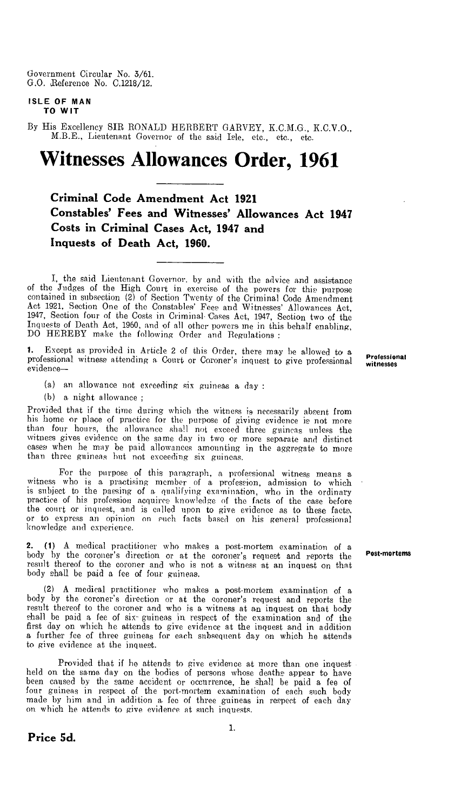Government Circular No. 3/61. G.O. Reference No. C.1218/12.

## **ISLE OF MAN TO WIT**

By His Excellency SIR RONALD HERBERT GARVEY, K.C.M.G., K.C.V.O., M.B.E., Lieutenant Governor of the said Isle, etc., etc., etc.

# **Witnesses Allowances Order, 1961**

**Criminal Code Amendment Act 1921 Constables' Fees and Witnesses' Allowances Act 1947 Costs in Criminal Cases Act, 1947 and Inquests of Death Act, 1960.** 

I, the said Lieutenant Governor. by and with the advice and assistance of the Judges of the High Court in exercise of the powers for this purpose contained in subsection (2) of Section Twenty of the Criminal Code Amendment Act 1921, Section. One of the Constables' Fees and Witnesses' Allowances Act, 1947, Section four of the Costs in Criminal-'Cases Act, 1947, Section two of the Inquests of Death Act, 1960, and of all other powers me in this behalf enabling, DO HEREBY make the following Order and Regulations :

Except as provided in Article 2 of this Order, there may be allowed to a professional witness attending a Court or Coroner's inquest to give professional evidence—

(a) an allowance not exceeding six guineas a day :

(b) a night allowance ;

Provided that if the time during which the witness is necessarily absent from<br>his home or place of practice for the purpose of giving evidence is not more<br>than four hours, the allowance shall not exceed three guincas unles witness gives evidence on the same day in two or more separate and distinct cases when he may be paid allowances amounting in the aggregate to more than three guineas but not exceeding six guineas.

For the purpose of this paragraph, a professional witness means a. witness who is a practising member of a profession, admission to which is subject to the passing of a qualifying examination, who in the ordinary practice of his profession acquires knowledge of the facts of the case before the court or inquest, -and is called upon to give evidence as to these facts. or to express an opinion on such facts based on his general professional knowledge and experience.

2. (1) A medical practitioner who makes a post-mortem examination of a body by the coroner's direction or at the coroner's request and reports the result thereof to the coroner and who is not a witness at an inquest on that body shall be paid a fee of four guineas.

(2) A medical practitioner who makes a post-mortem examination of a body by the coroner's direction or at the coroner's request and reports the result thereof to the coroner and who is a witness at an inquest on that body shall be paid a fee of six- guineas in respect of the examination and of the first day on which he attends to give evidence at the inquest and in addition a further fee of three guineas for each subsequent day on which he attends to give evidence at the inquest.

Provided that if ho attends to give evidence at more than one inquest held on the same day on the bodies of persons whose deaths appear to have been caused by the same accident or occurrence, he shall be paid a fee of four guineas in respect of the port-mortem examination of each such body made by him and in addition a fee of three guineas in respect of each day on which he attends to give evidence at such inquests.

Professional witnesses

#### Post-mortems

**Price 5d.**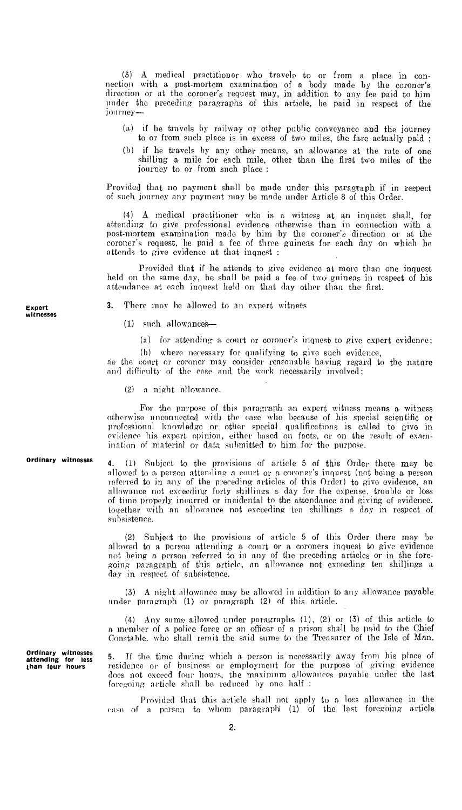(3) A medical practitioner who travels to or from a place in connection with a post-mortem examination of a body made by the coroner's direction or at the coroner's request may, in addition to any fee paid to him under the preceding paragraphs of this article, be paid in respect of the journey-

- (a) if he travels by railway or other public conveyance and the journey to or from such place is in excess of two miles, the fare actually paid ;
- (b) if he travels by any other means, an allowance at the rate of one shilling a mile for each mile, other than the first two miles of the journey to or from such place:

Provided that no payment shall be made under this paragraph if in respect of such journey any payment may be made under Article 8 of this Order.

(4) A medical practitioner who is a witness at an inquest shall, for attending to give professional evidence otherwise than in connection with a post-mortem examination made by him by the coroner's direction or at the coroner's request, be paid a fee of three guineas for each day on which he attends to give evidence at that inquest :

Provided that if he attends to give evidence at more than one inquest held on the same day, he shall be paid a fee of two guineas in respect of his attendance at each inquest held on that day other than the first.

3. There may he allowed to an expert witness

(1) such allowances—

(a) for attending a. court or coroner's inquest to give expert evidence;

(b) where necessary for qualifying to give such evidence, as the court or coroner may consider reasonable having regard to the nature

and difficulty of the case and the work necessarily involved;

(2) a night allowance.

For the purpose of this paragraph an expert witness means a, witness otherwise unconnected with the case who because of his special scientific or professional knowledge or other special qualifications is called to give in evidence his expert opinion, either based on facts, or on the result of examination of material or data submitted to him for the purpose.

Ordinary witnesses

4. (1) Subject to the provisions of article 5 of this Order there may be allowed to a person attending a court or a coroner's inquest (not being a. person referred to in any of the preceding articles of this Order) to give evidence, an allowance not exceeding forty shillings a day for the expense, trouble or loss of time properly incurred or incidental to the attendance and giving of evidence. together with an allowance not exceeding ten shillings a. day in respect of subsistence.

(2) Subject to the provisions of article 5 of this Order there may be allowed to a person attending a court or a coroners inquest to give evidence not being a person referred to in any of the preceding articles or in the foregoing paragraph of this article, an allowance not exceeding ten shillings a day in respect of subsistence.

(3) A night allowance may be allowed in addition to any allowance payable under paragraph (1) or paragraph (2) of this article.

(4) Any sums allowed under paragraphs (1), (2) or (3) of this article to a. member of a police force or an officer of a prison shall be paid to the Chief Constable, who shall remit the said sums to the Treasurer of the Isle of Man.

If the time during which a person is necessarily away from his place of residence or of business or employment for the purpose of giving evidence does not exceed four hours, the maximum allowances payable under the last foregoing article shall be reduced by one half :

Provided that this article shall not apply to a loss allowance in the case of a person to whom paragraph (1) of the last foregoing article

Expert witnesses

Ordinary witnesses attending for less than four hours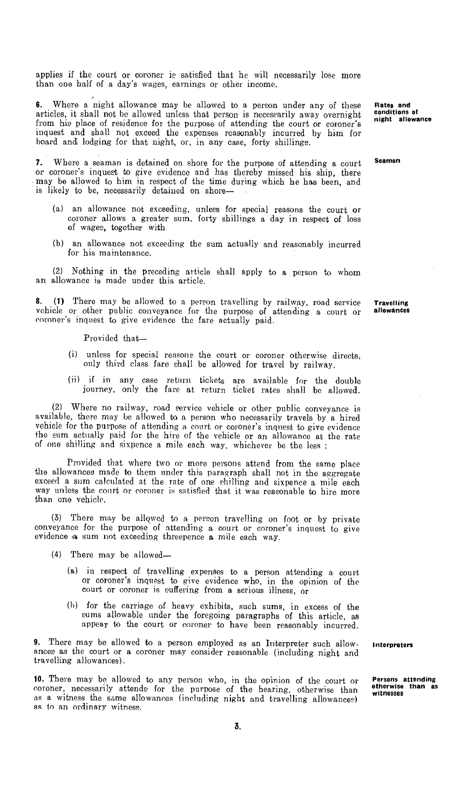applies if the court or coroner is satisfied that he will necessarily lose more than one half of a day's wages, earnings or other income.

**6.** Where a night allowance may be allowed to a person under any of these articles, it shall not be allowed unless that person is necessarily away overnight from his place of residence for the purpose of attending the court or coroner's inquest and shall not exceed the expenses reasonably incurred by him for board and lodging for that night, or, in any case, forty shillings.

**7.** Where a seaman is detained on shore for the purpose of attending a court or coroner's inquest to give evidence and has thereby missed his ship, there may be allowed to him in respect of the time during which he has been, and is likely to be, necessarily detained on shore—

- (a) an allowance not exceeding, unless for special reasons the court or coroner allows a greater sum, forty shillings a day in respect of loss of wages, together with
- (b) an allowance not exceeding the sum actually and reasonably incurred for his maintenance.

(2) Nothing in the preceding article shall apply to a person to whom an allowance is made under this article.

**8. (1)** There may be allowed to a person travelling by railway, road service vehicle or other public conveyance for the purpose of attending a court or coroner's inquest to give evidence the fare actually paid.

Provided that—

- (i) unless for special reasons the court or coroner otherwise directs, only third class fare shall be allowed for travel by railway.
- (ii) if in any case return tickets are available for the double journey, only the fare at return ticket rates shall be allowed.

(2) Where no railway, road service vehicle or other public conveyance is available, there may be allowed to a person who necessarily travels by a hired vehicle for the purpose of attending a court or coroner's inquest to give evidence the sum actually paid for the hire of the vehicle or an allowance at the rate of one shilling and sixpence a mile each way, whichever be the less

Provided that where two or more persons attend from the same place the allowances made to them under this paragraph shall not in the aggregate exceed a sum calculated at the rate of one shilling and sixpence a mile each way unless the court or coroner is satisfied that it was reasonable to hire more than one vehicle.

(3) There may be allowed to a person travelling on foot or by private conveyance for the purpose of attending a court or coroner's inquest to give evidence a sum not exceeding threepence a mile each way.

- (4) There may be allowed—
	- (a) in respect of travelling expenses to a person attending a court or coroner's inquest to give evidence who, in the opinion of the court or coroner is suffering from a serious illness, or
	- (b) for the carriage of heavy exhibits, such sums, in excess of the sums allowable under the foregoing paragraphs of this article, as appear to the court or coroner to have been reasonably incurred.

**9.** There may be allowed to a person employed as an Interpreter such allow- **Interpreters**  ances as the court or a coroner may consider reasonable (including night and travelling allowances).

10. There may be allowed to any person who, in the opinion of the court or coroner, necessarily attends for the purpose of the hearing, otherwise than as a witness the same allowances (including night and travelling allowances) as to an ordinary witness.

**Rates and conditions of night allowance** 

**Seamen** 

**Travelling allowances** 

**Persons attending otherwise than as witnesses**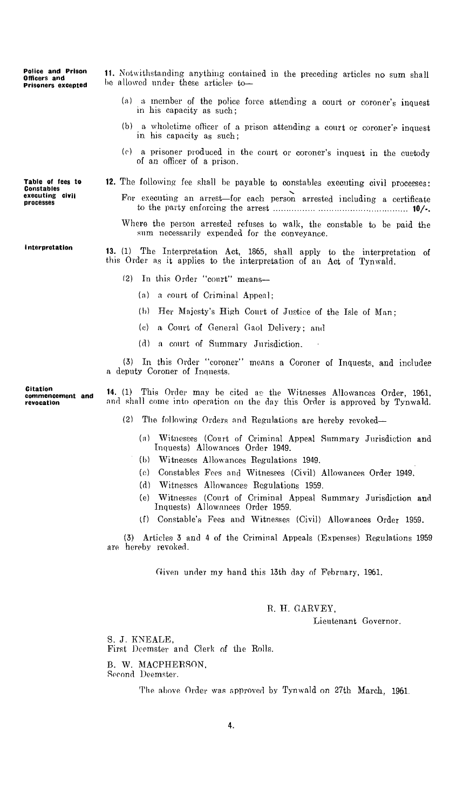Police and Prison Officers and Prisoners excepted 11. Notwithstanding anything contained in the preceding articles no sum shall be allowed under these articles to— (a) a member of the police force attending a court or coroner's inquest in his capacity as such; (b) a wholetime officer of a prison attending a court or coroner's inquest in his capacity as such; (c) a prisoner produced in the court or coroner's inquest in the custody of an officer of a prison.

Table of fees to Constables executing civil processes

Interpretation

Citation commencement and revocation

- 
- 12. The following fee shall be payable to constables executing civil processes: For executing an arrest—for each person arrested including a certificate
	- to the party enforcing the arrest 10/-. Where the person arrested refuses to walk, the constable to be paid the

sum necessarily expended for the conveyance.

**13.** (1) The Interpretation Act, 1865, shall apply to the interpretation of this Order as it applies to the interpretation of an Act of Tynwald.

- (2) In this Order "court" means—
	- (a) a court of Criminal Appeal:
	- (b) Her Majesty's High Court of Justice of the Isle of Man;
	- (c) a Court of General Gaol Delivery; and
	- (d) a court of Summary Jurisdiction.

(3) In this Order "coroner" means a Coroner of Inquests, and includes a deputy Coroner of Inquests.

**14.** (1) This Order may he cited as the Witnesses Allowances Order, 1961, and shall come into operation on the day this Order is approved by Tynwald.

- (2) The following Orders and Regulations are hereby revoked—
	- (a) Witnesses (Court of Criminal Appeal Summary Jurisdiction and Inquests) Allowances Order 1949.
	- (b) Witnesses Allowances Regulations 1949.
	- (c) Constables Fees and Witnesses (Civil) Allowances Order 1949.
	- (d) Witnesses Allowances Regulations 1959.
	- (e) Witnesses (Court of Criminal Appeal Summary Jurisdiction and Inquests) Allowances Order 1959.
	- (1) Constable's Fees and Witnesses (Civil) Allowances Order 1959.

(3) Articles 3 and 4 of the Criminal Appeals (Expenses) Regulations 1959 are hereby revoked.

Given under my hand this 13th day of February, 1961.

#### R. H. GARVEY,

Lieutenant Governor.

S. J. KNEALE, First Dcemster and Clerk of the Rolls. B. W. MACPHERSON,

Second Deemster.

The above Order was approved by Tynwald on 27th March, 1961.